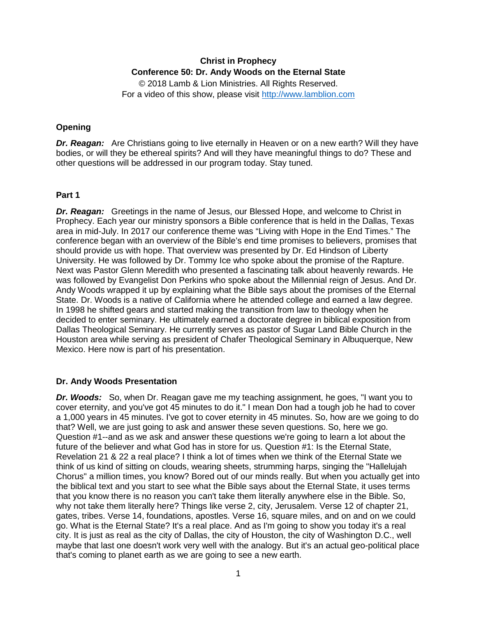# **Christ in Prophecy Conference 50: Dr. Andy Woods on the Eternal State**

© 2018 Lamb & Lion Ministries. All Rights Reserved. For a video of this show, please visit [http://www.lamblion.com](http://www.lamblion.com/)

### **Opening**

*Dr. Reagan:* Are Christians going to live eternally in Heaven or on a new earth? Will they have bodies, or will they be ethereal spirits? And will they have meaningful things to do? These and other questions will be addressed in our program today. Stay tuned.

#### **Part 1**

*Dr. Reagan:* Greetings in the name of Jesus, our Blessed Hope, and welcome to Christ in Prophecy. Each year our ministry sponsors a Bible conference that is held in the Dallas, Texas area in mid-July. In 2017 our conference theme was "Living with Hope in the End Times." The conference began with an overview of the Bible's end time promises to believers, promises that should provide us with hope. That overview was presented by Dr. Ed Hindson of Liberty University. He was followed by Dr. Tommy Ice who spoke about the promise of the Rapture. Next was Pastor Glenn Meredith who presented a fascinating talk about heavenly rewards. He was followed by Evangelist Don Perkins who spoke about the Millennial reign of Jesus. And Dr. Andy Woods wrapped it up by explaining what the Bible says about the promises of the Eternal State. Dr. Woods is a native of California where he attended college and earned a law degree. In 1998 he shifted gears and started making the transition from law to theology when he decided to enter seminary. He ultimately earned a doctorate degree in biblical exposition from Dallas Theological Seminary. He currently serves as pastor of Sugar Land Bible Church in the Houston area while serving as president of Chafer Theological Seminary in Albuquerque, New Mexico. Here now is part of his presentation.

### **Dr. Andy Woods Presentation**

*Dr. Woods:* So, when Dr. Reagan gave me my teaching assignment, he goes, "I want you to cover eternity, and you've got 45 minutes to do it." I mean Don had a tough job he had to cover a 1,000 years in 45 minutes. I've got to cover eternity in 45 minutes. So, how are we going to do that? Well, we are just going to ask and answer these seven questions. So, here we go. Question #1--and as we ask and answer these questions we're going to learn a lot about the future of the believer and what God has in store for us. Question #1: Is the Eternal State, Revelation 21 & 22 a real place? I think a lot of times when we think of the Eternal State we think of us kind of sitting on clouds, wearing sheets, strumming harps, singing the "Hallelujah Chorus" a million times, you know? Bored out of our minds really. But when you actually get into the biblical text and you start to see what the Bible says about the Eternal State, it uses terms that you know there is no reason you can't take them literally anywhere else in the Bible. So, why not take them literally here? Things like verse 2, city, Jerusalem. Verse 12 of chapter 21, gates, tribes. Verse 14, foundations, apostles. Verse 16, square miles, and on and on we could go. What is the Eternal State? It's a real place. And as I'm going to show you today it's a real city. It is just as real as the city of Dallas, the city of Houston, the city of Washington D.C., well maybe that last one doesn't work very well with the analogy. But it's an actual geo-political place that's coming to planet earth as we are going to see a new earth.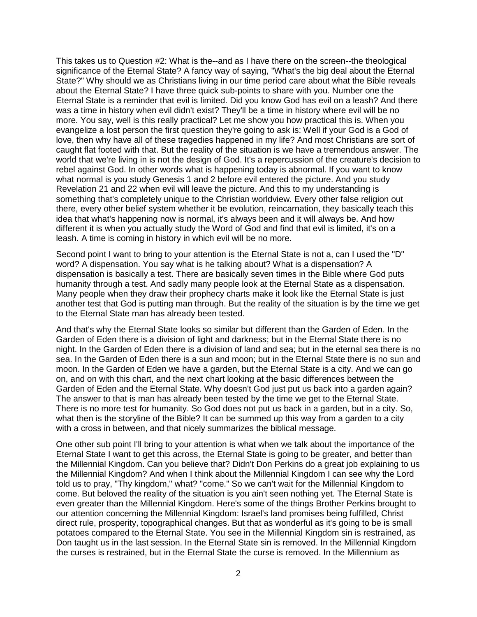This takes us to Question #2: What is the--and as I have there on the screen--the theological significance of the Eternal State? A fancy way of saying, "What's the big deal about the Eternal State?" Why should we as Christians living in our time period care about what the Bible reveals about the Eternal State? I have three quick sub-points to share with you. Number one the Eternal State is a reminder that evil is limited. Did you know God has evil on a leash? And there was a time in history when evil didn't exist? They'll be a time in history where evil will be no more. You say, well is this really practical? Let me show you how practical this is. When you evangelize a lost person the first question they're going to ask is: Well if your God is a God of love, then why have all of these tragedies happened in my life? And most Christians are sort of caught flat footed with that. But the reality of the situation is we have a tremendous answer. The world that we're living in is not the design of God. It's a repercussion of the creature's decision to rebel against God. In other words what is happening today is abnormal. If you want to know what normal is you study Genesis 1 and 2 before evil entered the picture. And you study Revelation 21 and 22 when evil will leave the picture. And this to my understanding is something that's completely unique to the Christian worldview. Every other false religion out there, every other belief system whether it be evolution, reincarnation, they basically teach this idea that what's happening now is normal, it's always been and it will always be. And how different it is when you actually study the Word of God and find that evil is limited, it's on a leash. A time is coming in history in which evil will be no more.

Second point I want to bring to your attention is the Eternal State is not a, can I used the "D" word? A dispensation. You say what is he talking about? What is a dispensation? A dispensation is basically a test. There are basically seven times in the Bible where God puts humanity through a test. And sadly many people look at the Eternal State as a dispensation. Many people when they draw their prophecy charts make it look like the Eternal State is just another test that God is putting man through. But the reality of the situation is by the time we get to the Eternal State man has already been tested.

And that's why the Eternal State looks so similar but different than the Garden of Eden. In the Garden of Eden there is a division of light and darkness; but in the Eternal State there is no night. In the Garden of Eden there is a division of land and sea; but in the eternal sea there is no sea. In the Garden of Eden there is a sun and moon; but in the Eternal State there is no sun and moon. In the Garden of Eden we have a garden, but the Eternal State is a city. And we can go on, and on with this chart, and the next chart looking at the basic differences between the Garden of Eden and the Eternal State. Why doesn't God just put us back into a garden again? The answer to that is man has already been tested by the time we get to the Eternal State. There is no more test for humanity. So God does not put us back in a garden, but in a city. So, what then is the storyline of the Bible? It can be summed up this way from a garden to a city with a cross in between, and that nicely summarizes the biblical message.

One other sub point I'll bring to your attention is what when we talk about the importance of the Eternal State I want to get this across, the Eternal State is going to be greater, and better than the Millennial Kingdom. Can you believe that? Didn't Don Perkins do a great job explaining to us the Millennial Kingdom? And when I think about the Millennial Kingdom I can see why the Lord told us to pray, "Thy kingdom," what? "come." So we can't wait for the Millennial Kingdom to come. But beloved the reality of the situation is you ain't seen nothing yet. The Eternal State is even greater than the Millennial Kingdom. Here's some of the things Brother Perkins brought to our attention concerning the Millennial Kingdom: Israel's land promises being fulfilled, Christ direct rule, prosperity, topographical changes. But that as wonderful as it's going to be is small potatoes compared to the Eternal State. You see in the Millennial Kingdom sin is restrained, as Don taught us in the last session. In the Eternal State sin is removed. In the Millennial Kingdom the curses is restrained, but in the Eternal State the curse is removed. In the Millennium as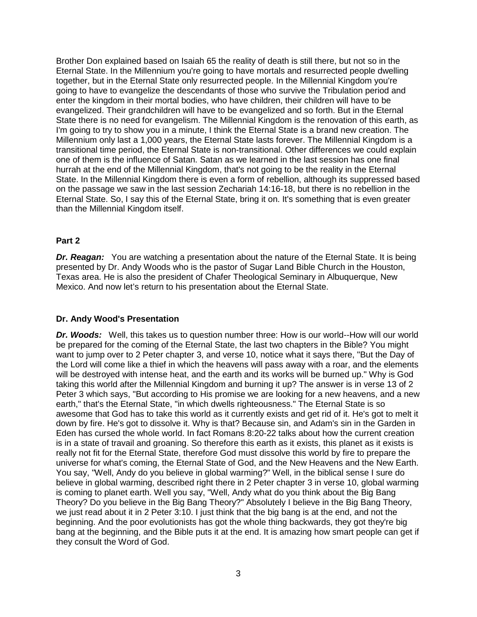Brother Don explained based on Isaiah 65 the reality of death is still there, but not so in the Eternal State. In the Millennium you're going to have mortals and resurrected people dwelling together, but in the Eternal State only resurrected people. In the Millennial Kingdom you're going to have to evangelize the descendants of those who survive the Tribulation period and enter the kingdom in their mortal bodies, who have children, their children will have to be evangelized. Their grandchildren will have to be evangelized and so forth. But in the Eternal State there is no need for evangelism. The Millennial Kingdom is the renovation of this earth, as I'm going to try to show you in a minute, I think the Eternal State is a brand new creation. The Millennium only last a 1,000 years, the Eternal State lasts forever. The Millennial Kingdom is a transitional time period, the Eternal State is non-transitional. Other differences we could explain one of them is the influence of Satan. Satan as we learned in the last session has one final hurrah at the end of the Millennial Kingdom, that's not going to be the reality in the Eternal State. In the Millennial Kingdom there is even a form of rebellion, although its suppressed based on the passage we saw in the last session Zechariah 14:16-18, but there is no rebellion in the Eternal State. So, I say this of the Eternal State, bring it on. It's something that is even greater than the Millennial Kingdom itself.

### **Part 2**

**Dr. Reagan:** You are watching a presentation about the nature of the Eternal State. It is being presented by Dr. Andy Woods who is the pastor of Sugar Land Bible Church in the Houston, Texas area. He is also the president of Chafer Theological Seminary in Albuquerque, New Mexico. And now let's return to his presentation about the Eternal State.

### **Dr. Andy Wood's Presentation**

*Dr. Woods:* Well, this takes us to question number three: How is our world--How will our world be prepared for the coming of the Eternal State, the last two chapters in the Bible? You might want to jump over to 2 Peter chapter 3, and verse 10, notice what it says there, "But the Day of the Lord will come like a thief in which the heavens will pass away with a roar, and the elements will be destroyed with intense heat, and the earth and its works will be burned up." Why is God taking this world after the Millennial Kingdom and burning it up? The answer is in verse 13 of 2 Peter 3 which says, "But according to His promise we are looking for a new heavens, and a new earth," that's the Eternal State, "in which dwells righteousness." The Eternal State is so awesome that God has to take this world as it currently exists and get rid of it. He's got to melt it down by fire. He's got to dissolve it. Why is that? Because sin, and Adam's sin in the Garden in Eden has cursed the whole world. In fact Romans 8:20-22 talks about how the current creation is in a state of travail and groaning. So therefore this earth as it exists, this planet as it exists is really not fit for the Eternal State, therefore God must dissolve this world by fire to prepare the universe for what's coming, the Eternal State of God, and the New Heavens and the New Earth. You say, "Well, Andy do you believe in global warming?" Well, in the biblical sense I sure do believe in global warming, described right there in 2 Peter chapter 3 in verse 10, global warming is coming to planet earth. Well you say, "Well, Andy what do you think about the Big Bang Theory? Do you believe in the Big Bang Theory?" Absolutely I believe in the Big Bang Theory, we just read about it in 2 Peter 3:10. I just think that the big bang is at the end, and not the beginning. And the poor evolutionists has got the whole thing backwards, they got they're big bang at the beginning, and the Bible puts it at the end. It is amazing how smart people can get if they consult the Word of God.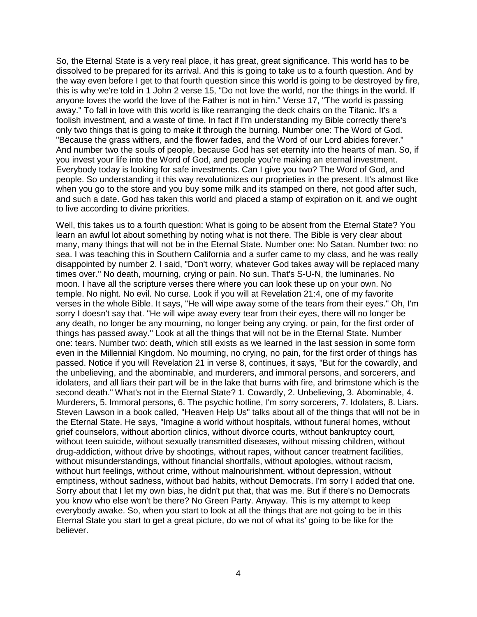So, the Eternal State is a very real place, it has great, great significance. This world has to be dissolved to be prepared for its arrival. And this is going to take us to a fourth question. And by the way even before I get to that fourth question since this world is going to be destroyed by fire, this is why we're told in 1 John 2 verse 15, "Do not love the world, nor the things in the world. If anyone loves the world the love of the Father is not in him." Verse 17, "The world is passing away." To fall in love with this world is like rearranging the deck chairs on the Titanic. It's a foolish investment, and a waste of time. In fact if I'm understanding my Bible correctly there's only two things that is going to make it through the burning. Number one: The Word of God. "Because the grass withers, and the flower fades, and the Word of our Lord abides forever." And number two the souls of people, because God has set eternity into the hearts of man. So, if you invest your life into the Word of God, and people you're making an eternal investment. Everybody today is looking for safe investments. Can I give you two? The Word of God, and people. So understanding it this way revolutionizes our proprieties in the present. It's almost like when you go to the store and you buy some milk and its stamped on there, not good after such, and such a date. God has taken this world and placed a stamp of expiration on it, and we ought to live according to divine priorities.

Well, this takes us to a fourth question: What is going to be absent from the Eternal State? You learn an awful lot about something by noting what is not there. The Bible is very clear about many, many things that will not be in the Eternal State. Number one: No Satan. Number two: no sea. I was teaching this in Southern California and a surfer came to my class, and he was really disappointed by number 2. I said, "Don't worry, whatever God takes away will be replaced many times over." No death, mourning, crying or pain. No sun. That's S-U-N, the luminaries. No moon. I have all the scripture verses there where you can look these up on your own. No temple. No night. No evil. No curse. Look if you will at Revelation 21:4, one of my favorite verses in the whole Bible. It says, "He will wipe away some of the tears from their eyes." Oh, I'm sorry I doesn't say that. "He will wipe away every tear from their eyes, there will no longer be any death, no longer be any mourning, no longer being any crying, or pain, for the first order of things has passed away." Look at all the things that will not be in the Eternal State. Number one: tears. Number two: death, which still exists as we learned in the last session in some form even in the Millennial Kingdom. No mourning, no crying, no pain, for the first order of things has passed. Notice if you will Revelation 21 in verse 8, continues, it says, "But for the cowardly, and the unbelieving, and the abominable, and murderers, and immoral persons, and sorcerers, and idolaters, and all liars their part will be in the lake that burns with fire, and brimstone which is the second death." What's not in the Eternal State? 1. Cowardly, 2. Unbelieving, 3. Abominable, 4. Murderers, 5. Immoral persons, 6. The psychic hotline, I'm sorry sorcerers, 7. Idolaters, 8. Liars. Steven Lawson in a book called, "Heaven Help Us" talks about all of the things that will not be in the Eternal State. He says, "Imagine a world without hospitals, without funeral homes, without grief counselors, without abortion clinics, without divorce courts, without bankruptcy court, without teen suicide, without sexually transmitted diseases, without missing children, without drug-addiction, without drive by shootings, without rapes, without cancer treatment facilities, without misunderstandings, without financial shortfalls, without apologies, without racism, without hurt feelings, without crime, without malnourishment, without depression, without emptiness, without sadness, without bad habits, without Democrats. I'm sorry I added that one. Sorry about that I let my own bias, he didn't put that, that was me. But if there's no Democrats you know who else won't be there? No Green Party. Anyway. This is my attempt to keep everybody awake. So, when you start to look at all the things that are not going to be in this Eternal State you start to get a great picture, do we not of what its' going to be like for the believer.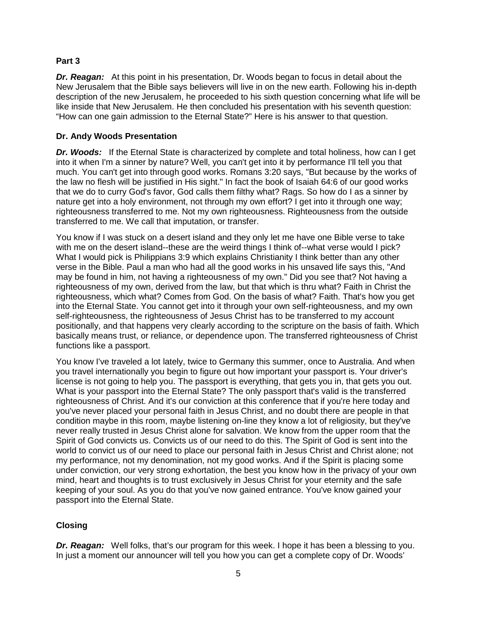### **Part 3**

**Dr. Reagan:** At this point in his presentation, Dr. Woods began to focus in detail about the New Jerusalem that the Bible says believers will live in on the new earth. Following his in-depth description of the new Jerusalem, he proceeded to his sixth question concerning what life will be like inside that New Jerusalem. He then concluded his presentation with his seventh question: "How can one gain admission to the Eternal State?" Here is his answer to that question.

## **Dr. Andy Woods Presentation**

*Dr. Woods:* If the Eternal State is characterized by complete and total holiness, how can I get into it when I'm a sinner by nature? Well, you can't get into it by performance I'll tell you that much. You can't get into through good works. Romans 3:20 says, "But because by the works of the law no flesh will be justified in His sight." In fact the book of Isaiah 64:6 of our good works that we do to curry God's favor, God calls them filthy what? Rags. So how do I as a sinner by nature get into a holy environment, not through my own effort? I get into it through one way; righteousness transferred to me. Not my own righteousness. Righteousness from the outside transferred to me. We call that imputation, or transfer.

You know if I was stuck on a desert island and they only let me have one Bible verse to take with me on the desert island--these are the weird things I think of--what verse would I pick? What I would pick is Philippians 3:9 which explains Christianity I think better than any other verse in the Bible. Paul a man who had all the good works in his unsaved life says this, "And may be found in him, not having a righteousness of my own." Did you see that? Not having a righteousness of my own, derived from the law, but that which is thru what? Faith in Christ the righteousness, which what? Comes from God. On the basis of what? Faith. That's how you get into the Eternal State. You cannot get into it through your own self-righteousness, and my own self-righteousness, the righteousness of Jesus Christ has to be transferred to my account positionally, and that happens very clearly according to the scripture on the basis of faith. Which basically means trust, or reliance, or dependence upon. The transferred righteousness of Christ functions like a passport.

You know I've traveled a lot lately, twice to Germany this summer, once to Australia. And when you travel internationally you begin to figure out how important your passport is. Your driver's license is not going to help you. The passport is everything, that gets you in, that gets you out. What is your passport into the Eternal State? The only passport that's valid is the transferred righteousness of Christ. And it's our conviction at this conference that if you're here today and you've never placed your personal faith in Jesus Christ, and no doubt there are people in that condition maybe in this room, maybe listening on-line they know a lot of religiosity, but they've never really trusted in Jesus Christ alone for salvation. We know from the upper room that the Spirit of God convicts us. Convicts us of our need to do this. The Spirit of God is sent into the world to convict us of our need to place our personal faith in Jesus Christ and Christ alone; not my performance, not my denomination, not my good works. And if the Spirit is placing some under conviction, our very strong exhortation, the best you know how in the privacy of your own mind, heart and thoughts is to trust exclusively in Jesus Christ for your eternity and the safe keeping of your soul. As you do that you've now gained entrance. You've know gained your passport into the Eternal State.

# **Closing**

*Dr. Reagan:* Well folks, that's our program for this week. I hope it has been a blessing to you. In just a moment our announcer will tell you how you can get a complete copy of Dr. Woods'